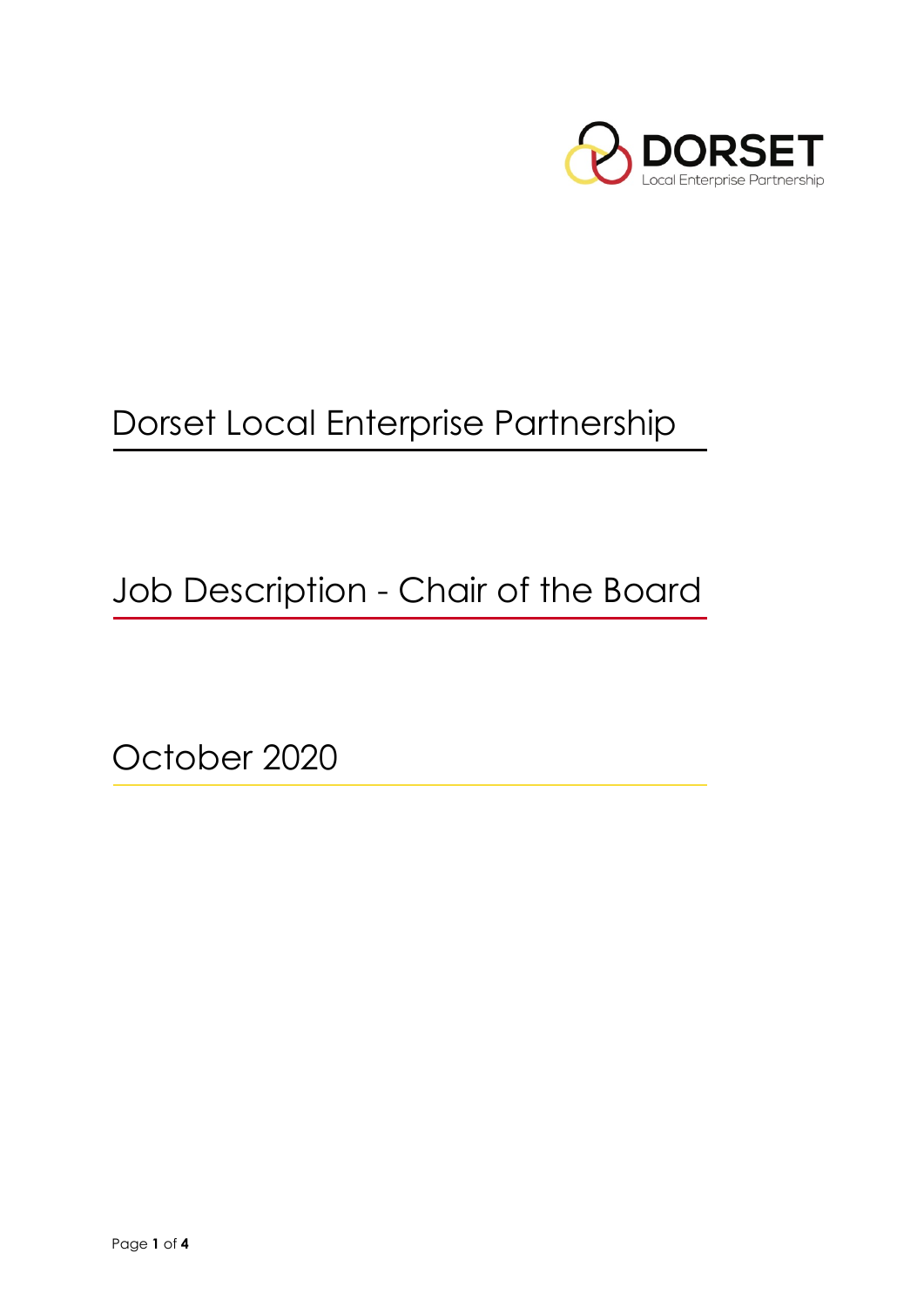

# Dorset Local Enterprise Partnership

Job Description - Chair of the Board

October 2020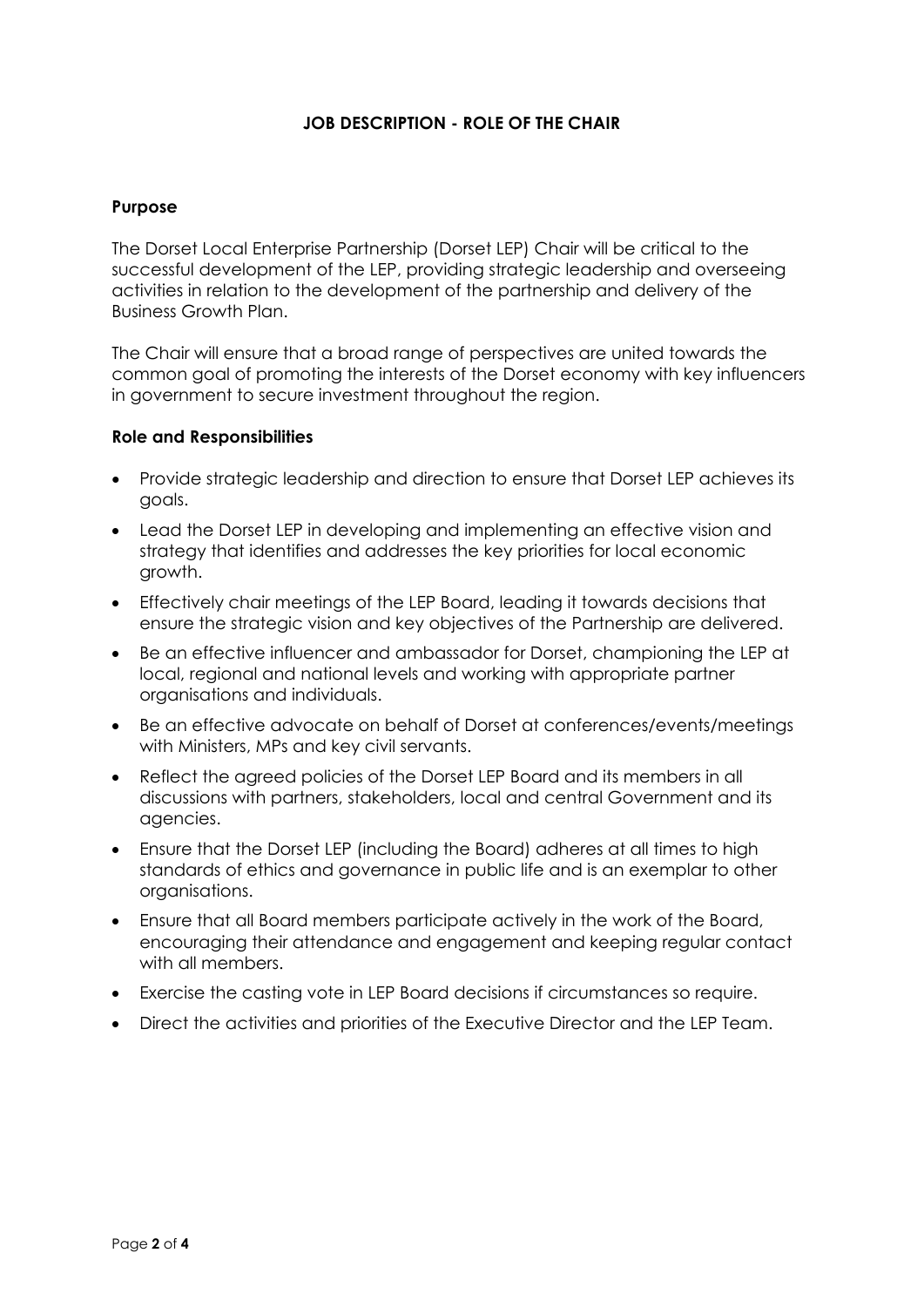### **JOB DESCRIPTION - ROLE OF THE CHAIR**

#### **Purpose**

The Dorset Local Enterprise Partnership (Dorset LEP) Chair will be critical to the successful development of the LEP, providing strategic leadership and overseeing activities in relation to the development of the partnership and delivery of the Business Growth Plan.

The Chair will ensure that a broad range of perspectives are united towards the common goal of promoting the interests of the Dorset economy with key influencers in government to secure investment throughout the region.

#### **Role and Responsibilities**

- Provide strategic leadership and direction to ensure that Dorset LEP achieves its goals.
- Lead the Dorset LEP in developing and implementing an effective vision and strategy that identifies and addresses the key priorities for local economic growth.
- Effectively chair meetings of the LEP Board, leading it towards decisions that ensure the strategic vision and key objectives of the Partnership are delivered.
- Be an effective influencer and ambassador for Dorset, championing the LEP at local, regional and national levels and working with appropriate partner organisations and individuals.
- Be an effective advocate on behalf of Dorset at conferences/events/meetings with Ministers, MPs and key civil servants.
- Reflect the agreed policies of the Dorset LEP Board and its members in all discussions with partners, stakeholders, local and central Government and its agencies.
- Ensure that the Dorset LEP (including the Board) adheres at all times to high standards of ethics and governance in public life and is an exemplar to other organisations.
- Ensure that all Board members participate actively in the work of the Board, encouraging their attendance and engagement and keeping regular contact with all members.
- Exercise the casting vote in LEP Board decisions if circumstances so require.
- Direct the activities and priorities of the Executive Director and the LEP Team.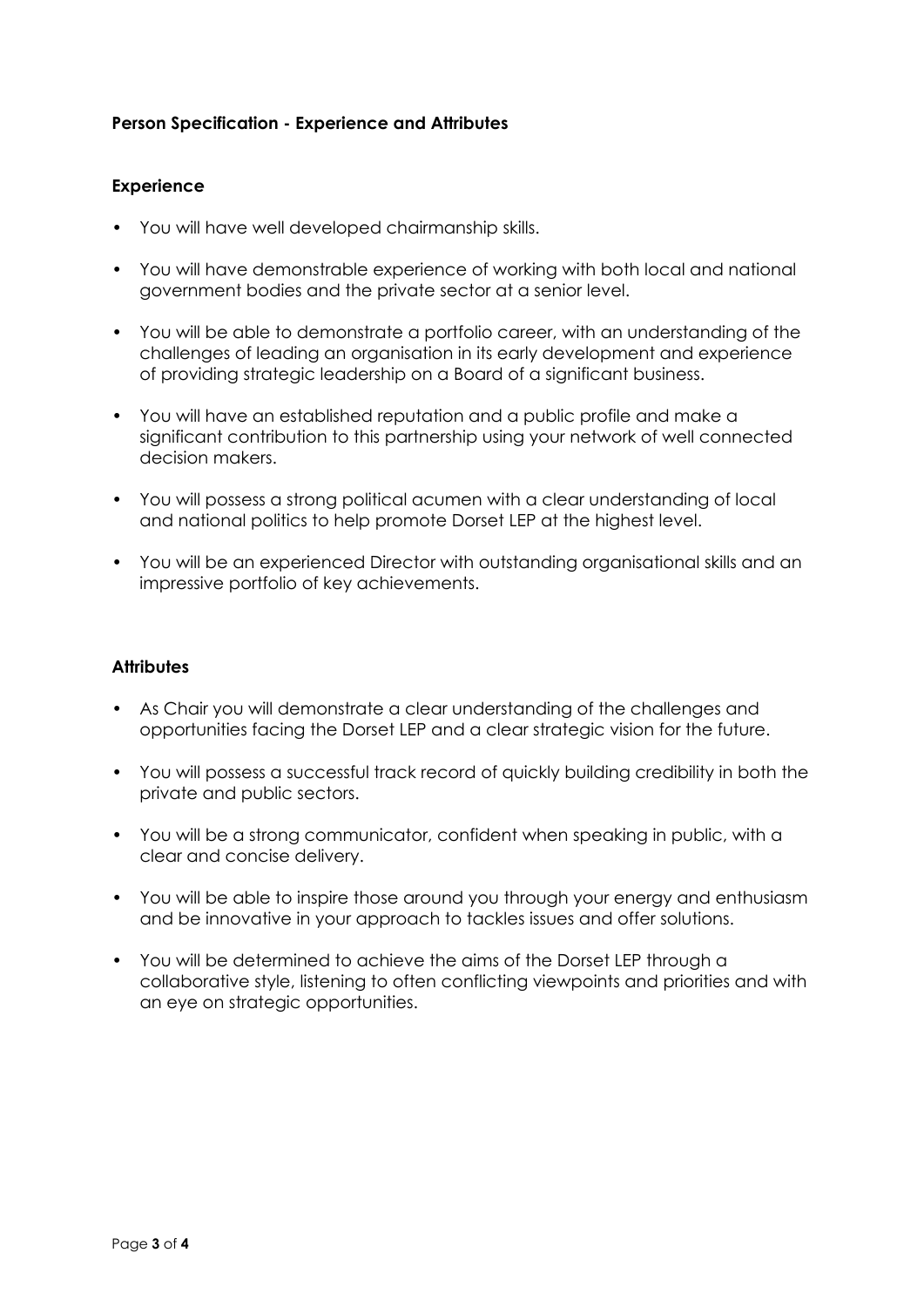## **Person Specification - Experience and Attributes**

#### **Experience**

- You will have well developed chairmanship skills.
- You will have demonstrable experience of working with both local and national government bodies and the private sector at a senior level.
- You will be able to demonstrate a portfolio career, with an understanding of the challenges of leading an organisation in its early development and experience of providing strategic leadership on a Board of a significant business.
- You will have an established reputation and a public profile and make a significant contribution to this partnership using your network of well connected decision makers.
- You will possess a strong political acumen with a clear understanding of local and national politics to help promote Dorset LEP at the highest level.
- You will be an experienced Director with outstanding organisational skills and an impressive portfolio of key achievements.

#### **Attributes**

- As Chair you will demonstrate a clear understanding of the challenges and opportunities facing the Dorset LEP and a clear strategic vision for the future.
- You will possess a successful track record of quickly building credibility in both the private and public sectors.
- You will be a strong communicator, confident when speaking in public, with a clear and concise delivery.
- You will be able to inspire those around you through your energy and enthusiasm and be innovative in your approach to tackles issues and offer solutions.
- You will be determined to achieve the aims of the Dorset LEP through a collaborative style, listening to often conflicting viewpoints and priorities and with an eye on strategic opportunities.